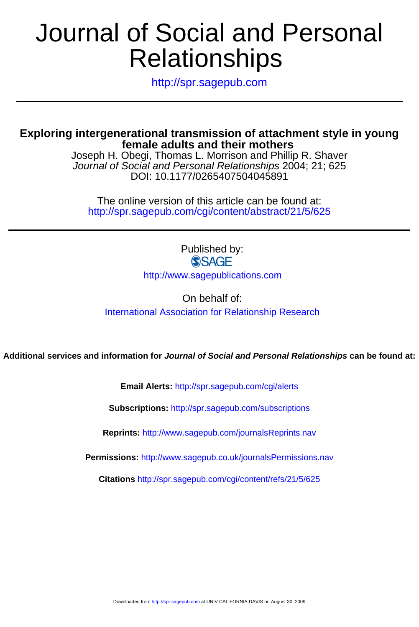# Relationships Journal of Social and Personal

http://spr.sagepub.com

# **female adults and their mothers Exploring intergenerational transmission of attachment style in young**

DOI: 10.1177/0265407504045891 Journal of Social and Personal Relationships 2004; 21; 625 Joseph H. Obegi, Thomas L. Morrison and Phillip R. Shaver

http://spr.sagepub.com/cgi/content/abstract/21/5/625 The online version of this article can be found at:

> Published by: **SSAGE** http://www.sagepublications.com

On behalf of: [International Association for Relationship Research](http://www.iarr.org)

**Additional services and information for Journal of Social and Personal Relationships can be found at:**

**Email Alerts:** <http://spr.sagepub.com/cgi/alerts>

**Subscriptions:** <http://spr.sagepub.com/subscriptions>

**Reprints:** <http://www.sagepub.com/journalsReprints.nav>

**Permissions:** <http://www.sagepub.co.uk/journalsPermissions.nav>

**Citations** <http://spr.sagepub.com/cgi/content/refs/21/5/625>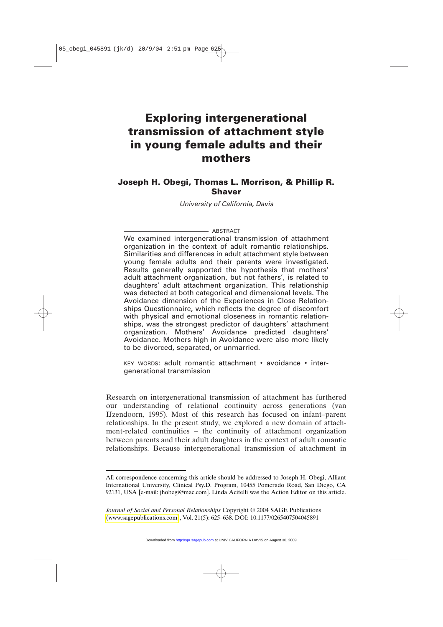# **Exploring intergenerational transmission of attachment style in young female adults and their mothers**

## **Joseph H. Obegi, Thomas L. Morrison, & Phillip R. Shaver**

*University of California, Davis*

#### - ABSTRACT -

We examined intergenerational transmission of attachment organization in the context of adult romantic relationships. Similarities and differences in adult attachment style between young female adults and their parents were investigated. Results generally supported the hypothesis that mothers' adult attachment organization, but not fathers', is related to daughters' adult attachment organization. This relationship was detected at both categorical and dimensional levels. The Avoidance dimension of the Experiences in Close Relationships Questionnaire, which reflects the degree of discomfort with physical and emotional closeness in romantic relationships, was the strongest predictor of daughters' attachment organization. Mothers' Avoidance predicted daughters' Avoidance. Mothers high in Avoidance were also more likely to be divorced, separated, or unmarried.

KEY WORDS: adult romantic attachment • avoidance • intergenerational transmission

Research on intergenerational transmission of attachment has furthered our understanding of relational continuity across generations (van IJzendoorn, 1995). Most of this research has focused on infant–parent relationships. In the present study, we explored a new domain of attachment-related continuities – the continuity of attachment organization between parents and their adult daughters in the context of adult romantic relationships. Because intergenerational transmission of attachment in

All correspondence concerning this article should be addressed to Joseph H. Obegi, Alliant International University, Clinical Psy.D. Program, 10455 Pomerado Road, San Diego, CA 92131, USA [e-mail: jhobegi@mac.com]. Linda Acitelli was the Action Editor on this article.

*Journal of Social and Personal Relationships* Copyright © 2004 SAGE Publications [\(www.sagepublications.com\)](www.sagepublications.com), Vol. 21(5): 625–638. DOI: 10.1177/0265407504045891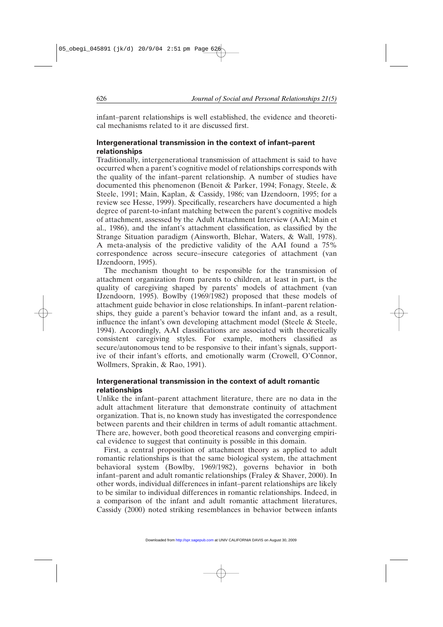infant–parent relationships is well established, the evidence and theoretical mechanisms related to it are discussed first.

### **Intergenerational transmission in the context of infant–parent relationships**

Traditionally, intergenerational transmission of attachment is said to have occurred when a parent's cognitive model of relationships corresponds with the quality of the infant–parent relationship. A number of studies have documented this phenomenon (Benoit & Parker, 1994; Fonagy, Steele, & Steele, 1991; Main, Kaplan, & Cassidy, 1986; van IJzendoorn, 1995; for a review see Hesse, 1999). Specifically, researchers have documented a high degree of parent-to-infant matching between the parent's cognitive models of attachment, assessed by the Adult Attachment Interview (AAI; Main et al., 1986), and the infant's attachment classification, as classified by the Strange Situation paradigm (Ainsworth, Blehar, Waters, & Wall, 1978). A meta-analysis of the predictive validity of the AAI found a 75% correspondence across secure–insecure categories of attachment (van IJzendoorn, 1995).

The mechanism thought to be responsible for the transmission of attachment organization from parents to children, at least in part, is the quality of caregiving shaped by parents' models of attachment (van IJzendoorn, 1995). Bowlby (1969/1982) proposed that these models of attachment guide behavior in close relationships. In infant–parent relationships, they guide a parent's behavior toward the infant and, as a result, influence the infant's own developing attachment model (Steele & Steele, 1994). Accordingly, AAI classifications are associated with theoretically consistent caregiving styles. For example, mothers classified as secure/autonomous tend to be responsive to their infant's signals, supportive of their infant's efforts, and emotionally warm (Crowell, O'Connor, Wollmers, Sprakin, & Rao, 1991).

#### **Intergenerational transmission in the context of adult romantic relationships**

Unlike the infant–parent attachment literature, there are no data in the adult attachment literature that demonstrate continuity of attachment organization. That is, no known study has investigated the correspondence between parents and their children in terms of adult romantic attachment. There are, however, both good theoretical reasons and converging empirical evidence to suggest that continuity is possible in this domain.

First, a central proposition of attachment theory as applied to adult romantic relationships is that the same biological system, the attachment behavioral system (Bowlby, 1969/1982), governs behavior in both infant–parent and adult romantic relationships (Fraley & Shaver, 2000). In other words, individual differences in infant–parent relationships are likely to be similar to individual differences in romantic relationships. Indeed, in a comparison of the infant and adult romantic attachment literatures, Cassidy (2000) noted striking resemblances in behavior between infants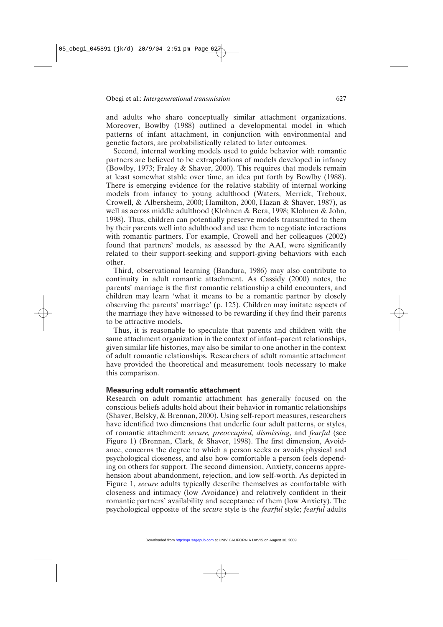and adults who share conceptually similar attachment organizations. Moreover, Bowlby (1988) outlined a developmental model in which patterns of infant attachment, in conjunction with environmental and genetic factors, are probabilistically related to later outcomes.

Second, internal working models used to guide behavior with romantic partners are believed to be extrapolations of models developed in infancy (Bowlby, 1973; Fraley & Shaver, 2000). This requires that models remain at least somewhat stable over time, an idea put forth by Bowlby (1988). There is emerging evidence for the relative stability of internal working models from infancy to young adulthood (Waters, Merrick, Treboux, Crowell, & Albersheim, 2000; Hamilton, 2000, Hazan & Shaver, 1987), as well as across middle adulthood (Klohnen & Bera, 1998; Klohnen & John, 1998). Thus, children can potentially preserve models transmitted to them by their parents well into adulthood and use them to negotiate interactions with romantic partners. For example, Crowell and her colleagues (2002) found that partners' models, as assessed by the AAI, were significantly related to their support-seeking and support-giving behaviors with each other.

Third, observational learning (Bandura, 1986) may also contribute to continuity in adult romantic attachment. As Cassidy (2000) notes, the parents' marriage is the first romantic relationship a child encounters, and children may learn 'what it means to be a romantic partner by closely observing the parents' marriage' (p. 125). Children may imitate aspects of the marriage they have witnessed to be rewarding if they find their parents to be attractive models.

Thus, it is reasonable to speculate that parents and children with the same attachment organization in the context of infant–parent relationships, given similar life histories, may also be similar to one another in the context of adult romantic relationships. Researchers of adult romantic attachment have provided the theoretical and measurement tools necessary to make this comparison.

#### **Measuring adult romantic attachment**

Research on adult romantic attachment has generally focused on the conscious beliefs adults hold about their behavior in romantic relationships (Shaver, Belsky, & Brennan, 2000). Using self-report measures, researchers have identified two dimensions that underlie four adult patterns, or styles, of romantic attachment: *secure, preoccupied, dismissing*, and *fearful* (see Figure 1) (Brennan, Clark, & Shaver, 1998). The first dimension, Avoidance, concerns the degree to which a person seeks or avoids physical and psychological closeness, and also how comfortable a person feels depending on others for support. The second dimension, Anxiety, concerns apprehension about abandonment, rejection, and low self-worth. As depicted in Figure 1, *secure* adults typically describe themselves as comfortable with closeness and intimacy (low Avoidance) and relatively confident in their romantic partners' availability and acceptance of them (low Anxiety). The psychological opposite of the *secure* style is the *fearful* style; *fearful* adults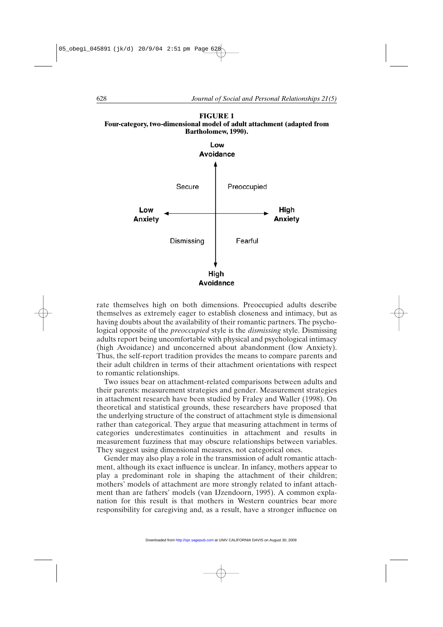

**FIGURE 1 Four-category, two-dimensional model of adult attachment (adapted from**



rate themselves high on both dimensions. Preoccupied adults describe themselves as extremely eager to establish closeness and intimacy, but as having doubts about the availability of their romantic partners. The psychological opposite of the *preoccupied* style is the *dismissing* style. Dismissing adults report being uncomfortable with physical and psychological intimacy (high Avoidance) and unconcerned about abandonment (low Anxiety). Thus, the self-report tradition provides the means to compare parents and their adult children in terms of their attachment orientations with respect to romantic relationships.

Two issues bear on attachment-related comparisons between adults and their parents: measurement strategies and gender. Measurement strategies in attachment research have been studied by Fraley and Waller (1998). On theoretical and statistical grounds, these researchers have proposed that the underlying structure of the construct of attachment style is dimensional rather than categorical. They argue that measuring attachment in terms of categories underestimates continuities in attachment and results in measurement fuzziness that may obscure relationships between variables. They suggest using dimensional measures, not categorical ones.

Gender may also play a role in the transmission of adult romantic attachment, although its exact influence is unclear. In infancy, mothers appear to play a predominant role in shaping the attachment of their children; mothers' models of attachment are more strongly related to infant attachment than are fathers' models (van IJzendoorn, 1995). A common explanation for this result is that mothers in Western countries bear more responsibility for caregiving and, as a result, have a stronger influence on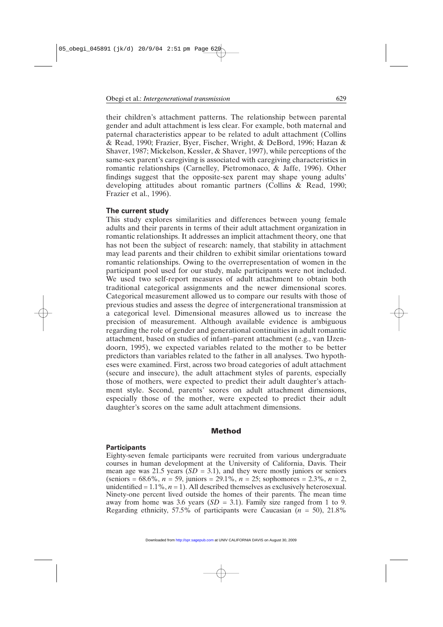their children's attachment patterns. The relationship between parental gender and adult attachment is less clear. For example, both maternal and paternal characteristics appear to be related to adult attachment (Collins & Read, 1990; Frazier, Byer, Fischer, Wright, & DeBord, 1996; Hazan & Shaver, 1987; Mickelson, Kessler, & Shaver, 1997), while perceptions of the same-sex parent's caregiving is associated with caregiving characteristics in romantic relationships (Carnelley, Pietromonaco, & Jaffe, 1996). Other findings suggest that the opposite-sex parent may shape young adults' developing attitudes about romantic partners (Collins & Read, 1990; Frazier et al., 1996).

#### **The current study**

This study explores similarities and differences between young female adults and their parents in terms of their adult attachment organization in romantic relationships. It addresses an implicit attachment theory, one that has not been the subject of research: namely, that stability in attachment may lead parents and their children to exhibit similar orientations toward romantic relationships. Owing to the overrepresentation of women in the participant pool used for our study, male participants were not included. We used two self-report measures of adult attachment to obtain both traditional categorical assignments and the newer dimensional scores. Categorical measurement allowed us to compare our results with those of previous studies and assess the degree of intergenerational transmission at a categorical level. Dimensional measures allowed us to increase the precision of measurement. Although available evidence is ambiguous regarding the role of gender and generational continuities in adult romantic attachment, based on studies of infant–parent attachment (e.g., van IJzendoorn, 1995), we expected variables related to the mother to be better predictors than variables related to the father in all analyses. Two hypotheses were examined. First, across two broad categories of adult attachment (secure and insecure), the adult attachment styles of parents, especially those of mothers, were expected to predict their adult daughter's attachment style. Second, parents' scores on adult attachment dimensions, especially those of the mother, were expected to predict their adult daughter's scores on the same adult attachment dimensions.

#### **Method**

#### **Participants**

Eighty-seven female participants were recruited from various undergraduate courses in human development at the University of California, Davis. Their mean age was 21.5 years  $(SD = 3.1)$ , and they were mostly juniors or seniors (seniors = 68.6%, *n* = 59, juniors = 29.1%, *n* = 25; sophomores = 2.3%, *n* = 2, unidentified  $= 1.1\%, n = 1$ ). All described themselves as exclusively heterosexual. Ninety-one percent lived outside the homes of their parents. The mean time away from home was 3.6 years  $(SD = 3.1)$ . Family size ranged from 1 to 9. Regarding ethnicity, 57.5% of participants were Caucasian (*n* = 50), 21.8%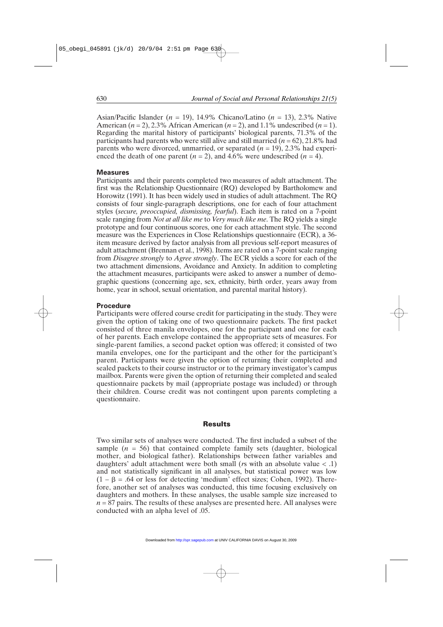Asian/Pacific Islander (*n* = 19), 14.9% Chicano/Latino (*n* = 13), 2.3% Native American  $(n = 2)$ , 2.3% African American  $(n = 2)$ , and 1.1% undescribed  $(n = 1)$ . Regarding the marital history of participants' biological parents, 71.3% of the participants had parents who were still alive and still married  $(n = 62)$ , 21.8% had parents who were divorced, unmarried, or separated  $(n = 19)$ , 2.3% had experienced the death of one parent  $(n = 2)$ , and 4.6% were undescribed  $(n = 4)$ .

#### **Measures**

Participants and their parents completed two measures of adult attachment. The first was the Relationship Questionnaire (RQ) developed by Bartholomew and Horowitz (1991). It has been widely used in studies of adult attachment. The RQ consists of four single-paragraph descriptions, one for each of four attachment styles (*secure, preoccupied, dismissing, fearful*). Each item is rated on a 7-point scale ranging from *Not at all like me* to *Very much like me*. The RQ yields a single prototype and four continuous scores, one for each attachment style. The second measure was the Experiences in Close Relationships questionnaire (ECR), a 36 item measure derived by factor analysis from all previous self-report measures of adult attachment (Brennan et al., 1998). Items are rated on a 7-point scale ranging from *Disagree strongly* to *Agree strongly*. The ECR yields a score for each of the two attachment dimensions, Avoidance and Anxiety. In addition to completing the attachment measures, participants were asked to answer a number of demographic questions (concerning age, sex, ethnicity, birth order, years away from home, year in school, sexual orientation, and parental marital history).

#### **Procedure**

Participants were offered course credit for participating in the study. They were given the option of taking one of two questionnaire packets. The first packet consisted of three manila envelopes, one for the participant and one for each of her parents. Each envelope contained the appropriate sets of measures. For single-parent families, a second packet option was offered; it consisted of two manila envelopes, one for the participant and the other for the participant's parent. Participants were given the option of returning their completed and sealed packets to their course instructor or to the primary investigator's campus mailbox. Parents were given the option of returning their completed and sealed questionnaire packets by mail (appropriate postage was included) or through their children. Course credit was not contingent upon parents completing a questionnaire.

#### **Results**

Two similar sets of analyses were conducted. The first included a subset of the sample  $(n = 56)$  that contained complete family sets (daughter, biological mother, and biological father). Relationships between father variables and daughters' adult attachment were both small (*r*s with an absolute value < .1) and not statistically significant in all analyses, but statistical power was low  $(1 - \beta) = .64$  or less for detecting 'medium' effect sizes; Cohen, 1992). Therefore, another set of analyses was conducted, this time focusing exclusively on daughters and mothers. In these analyses, the usable sample size increased to  $n = 87$  pairs. The results of these analyses are presented here. All analyses were conducted with an alpha level of .05.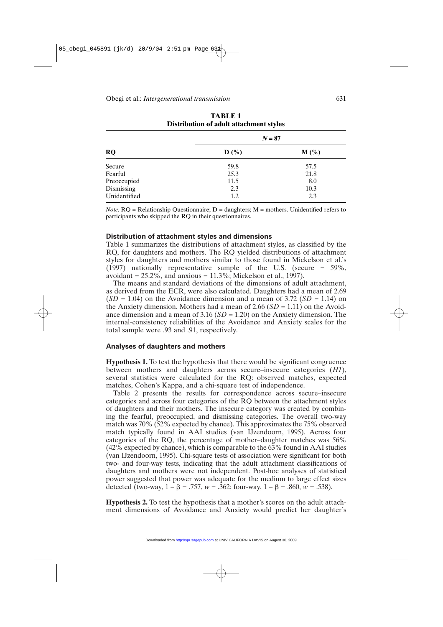|              | $N = 87$         |         |  |
|--------------|------------------|---------|--|
| <b>RQ</b>    | $\mathbf{D}$ (%) | $M(\%)$ |  |
| Secure       | 59.8             | 57.5    |  |
| Fearful      | 25.3             | 21.8    |  |
| Preoccupied  | 11.5             | 8.0     |  |
| Dismissing   | 2.3              | 10.3    |  |
| Unidentified | 1.2              | 2.3     |  |

**TABLE 1 Distribution of adult attachment styles**

*Note*. RQ = Relationship Questionnaire; D = daughters; M = mothers. Unidentified refers to participants who skipped the RQ in their questionnaires.

#### **Distribution of attachment styles and dimensions**

Table 1 summarizes the distributions of attachment styles, as classified by the RQ, for daughters and mothers. The RQ yielded distributions of attachment styles for daughters and mothers similar to those found in Mickelson et al.'s (1997) nationally representative sample of the U.S. (secure = 59%, avoidant  $= 25.2\%$ , and anxious  $= 11.3\%$ ; Mickelson et al., 1997).

The means and standard deviations of the dimensions of adult attachment, as derived from the ECR, were also calculated. Daughters had a mean of 2.69  $(SD = 1.04)$  on the Avoidance dimension and a mean of 3.72  $(SD = 1.14)$  on the Anxiety dimension. Mothers had a mean of 2.66 (*SD* = 1.11) on the Avoidance dimension and a mean of 3.16 (*SD* = 1.20) on the Anxiety dimension. The internal-consistency reliabilities of the Avoidance and Anxiety scales for the total sample were .93 and .91, respectively.

#### **Analyses of daughters and mothers**

**Hypothesis 1.** To test the hypothesis that there would be significant congruence between mothers and daughters across secure–insecure categories (*H1*), several statistics were calculated for the RQ: observed matches, expected matches, Cohen's Kappa, and a chi-square test of independence.

Table 2 presents the results for correspondence across secure–insecure categories and across four categories of the RQ between the attachment styles of daughters and their mothers. The insecure category was created by combining the fearful, preoccupied, and dismissing categories. The overall two-way match was 70% (52% expected by chance). This approximates the 75% observed match typically found in AAI studies (van IJzendoorn, 1995). Across four categories of the RQ, the percentage of mother–daughter matches was 56% (42% expected by chance), which is comparable to the 63% found in AAI studies (van IJzendoorn, 1995). Chi-square tests of association were significant for both two- and four-way tests, indicating that the adult attachment classifications of daughters and mothers were not independent. Post-hoc analyses of statistical power suggested that power was adequate for the medium to large effect sizes detected (two-way,  $1 - \beta = .757$ ,  $w = .362$ ; four-way,  $1 - \beta = .860$ ,  $w = .538$ ).

**Hypothesis 2.** To test the hypothesis that a mother's scores on the adult attachment dimensions of Avoidance and Anxiety would predict her daughter's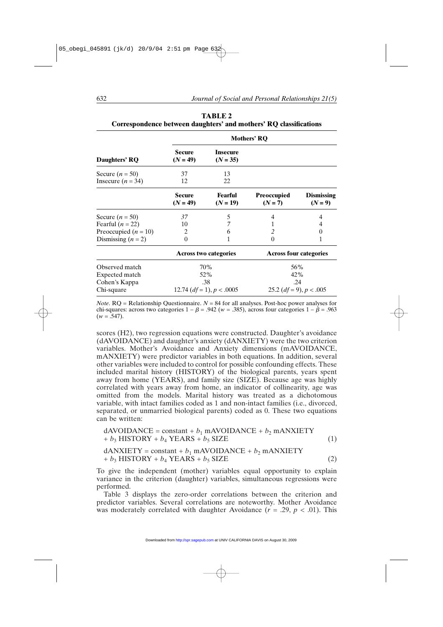|                                          | <b>Mothers' RQ</b>             |                               |                                 |                                |
|------------------------------------------|--------------------------------|-------------------------------|---------------------------------|--------------------------------|
| Daughters' RQ                            | Secure<br>$(N = 49)$           | <b>Insecure</b><br>$(N = 35)$ |                                 |                                |
| Secure $(n = 50)$<br>Insecure $(n = 34)$ | 37<br>12                       | 13<br>22                      |                                 |                                |
|                                          | Secure<br>$(N = 49)$           | Fearful<br>$(N = 19)$         | <b>Preoccupied</b><br>$(N = 7)$ | <b>Dismissing</b><br>$(N = 9)$ |
| Secure $(n = 50)$                        | 37                             | 5                             | 4                               |                                |
| Fearful $(n = 22)$                       | 10                             | 7                             | 1                               |                                |
| Preoccupied $(n = 10)$                   | 2                              | 6                             | 2                               | 0                              |
| Dismissing $(n = 2)$                     | $\Omega$                       |                               | $\Omega$                        |                                |
|                                          | <b>Across two categories</b>   |                               | <b>Across four categories</b>   |                                |
| Observed match                           | 70%                            |                               | 56%                             |                                |
| Expected match                           | 52%                            |                               | 42%                             |                                |
| Cohen's Kappa                            | .38                            |                               | .24                             |                                |
| Chi-square                               | 12.74 $(df = 1)$ , $p < .0005$ |                               | 25.2 $(df = 9)$ , $p < .005$    |                                |

**TABLE 2 Correspondence between daughters' and mothers' RQ classifications**

*Note*.  $RO = \text{Relationship Questionnaire. } N = 84$  for all analyses. Post-hoc power analyses for chi-squares: across two categories  $1 - \beta = .942$  ( $w = .385$ ), across four categories  $1 - \beta = .963$  $(w = .547)$ .

scores (H2), two regression equations were constructed. Daughter's avoidance (dAVOIDANCE) and daughter's anxiety (dANXIETY) were the two criterion variables. Mother's Avoidance and Anxiety dimensions (mAVOIDANCE, mANXIETY) were predictor variables in both equations. In addition, several other variables were included to control for possible confounding effects. These included marital history (HISTORY) of the biological parents, years spent away from home (YEARS), and family size (SIZE). Because age was highly correlated with years away from home, an indicator of collinearity, age was omitted from the models. Marital history was treated as a dichotomous variable, with intact families coded as 1 and non-intact families (i.e., divorced, separated, or unmarried biological parents) coded as 0. These two equations can be written:

$$
dAVOIDANCE = constant + b_1 mAVOIDANCE + b_2 mANXIETY + b_3 HISTORY + b_4 YEARS + b_5 SIZE
$$
 (1)

$$
dANXIETY = constant + b_1 mAVOIDANCE + b_2 mANXIETY + b_3 HISTORY + b_4 YEARS + b_5 SIZE
$$
 (2)

To give the independent (mother) variables equal opportunity to explain variance in the criterion (daughter) variables, simultaneous regressions were performed.

Table 3 displays the zero-order correlations between the criterion and predictor variables. Several correlations are noteworthy. Mother Avoidance was moderately correlated with daughter Avoidance  $(r = .29, p < .01)$ . This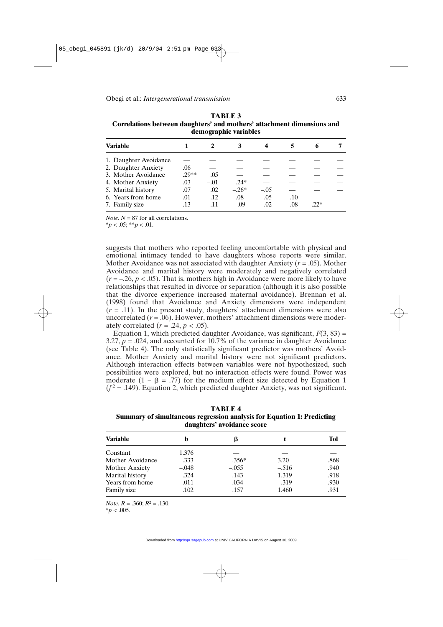| uchographic variables |      |        |         |        |        |       |  |
|-----------------------|------|--------|---------|--------|--------|-------|--|
| Variable              |      |        |         |        |        | 6     |  |
| 1. Daughter Avoidance |      |        |         |        |        |       |  |
| 2. Daughter Anxiety   | .06  |        |         |        |        |       |  |
| 3. Mother Avoidance   | 29** | .05    |         |        |        |       |  |
| 4. Mother Anxiety     | .03  | $-.01$ | $.24*$  |        |        |       |  |
| 5. Marital history    | .07  | .02    | $-.26*$ | $-.05$ |        |       |  |
| 6. Years from home    | .01  | .12    | .08     | .05    | $-.10$ |       |  |
| 7. Family size        | .13  | -.11   | $-.09$  | .02    | .08    | $22*$ |  |

**TABLE 3 Correlations between daughters' and mothers' attachment dimensions and demographic variables**

*Note*.  $N = 87$  for all correlations.

 $**p* < .05; ***p* < .01$ .

suggests that mothers who reported feeling uncomfortable with physical and emotional intimacy tended to have daughters whose reports were similar. Mother Avoidance was not associated with daughter Anxiety (*r* = .05). Mother Avoidance and marital history were moderately and negatively correlated  $(r = -.26, p < .05)$ . That is, mothers high in Avoidance were more likely to have relationships that resulted in divorce or separation (although it is also possible that the divorce experience increased maternal avoidance). Brennan et al. (1998) found that Avoidance and Anxiety dimensions were independent  $(r = .11)$ . In the present study, daughters' attachment dimensions were also uncorrelated  $(r = .06)$ . However, mothers' attachment dimensions were moderately correlated  $(r = .24, p < .05)$ .

Equation 1, which predicted daughter Avoidance, was significant,  $F(3, 83) =$ 3.27,  $p = 0.024$ , and accounted for 10.7% of the variance in daughter Avoidance (see Table 4). The only statistically significant predictor was mothers' Avoidance. Mother Anxiety and marital history were not significant predictors. Although interaction effects between variables were not hypothesized, such possibilities were explored, but no interaction effects were found. Power was moderate  $(1 - \beta = .77)$  for the medium effect size detected by Equation 1  $(f^2 = .149)$ . Equation 2, which predicted daughter Anxiety, was not significant.

| <b>TABLE 4</b>                                                                |
|-------------------------------------------------------------------------------|
| <b>Summary of simultaneous regression analysis for Equation 1: Predicting</b> |
| daughters' avoidance score                                                    |

| <b>Variable</b>  |         | ß       |         | Tol  |
|------------------|---------|---------|---------|------|
| Constant         | 1.376   |         |         |      |
| Mother Avoidance | .333    | $.356*$ | 3.20    | .868 |
| Mother Anxiety   | $-.048$ | $-.055$ | $-.516$ | .940 |
| Marital history  | .324    | .143    | 1.319   | .918 |
| Years from home  | $-.011$ | $-.034$ | $-.319$ | .930 |
| Family size      | .102    | .157    | 1.460   | .931 |

*Note*. *R* = .360; *R*<sup>2</sup> = .130.

 $*$ *p* < .005.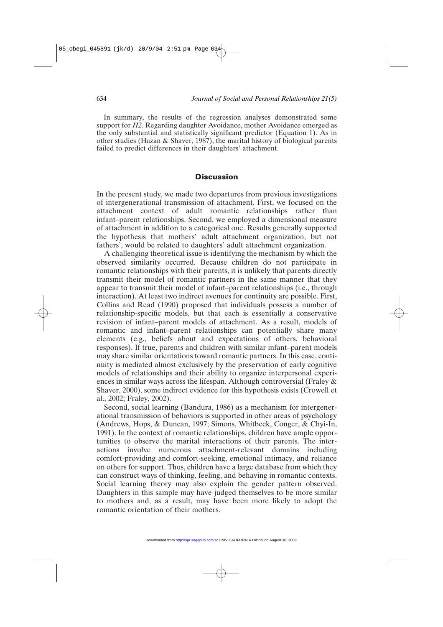In summary, the results of the regression analyses demonstrated some support for *H2*. Regarding daughter Avoidance, mother Avoidance emerged as the only substantial and statistically significant predictor (Equation 1). As in other studies (Hazan & Shaver, 1987), the marital history of biological parents failed to predict differences in their daughters' attachment.

#### **Discussion**

In the present study, we made two departures from previous investigations of intergenerational transmission of attachment. First, we focused on the attachment context of adult romantic relationships rather than infant–parent relationships. Second, we employed a dimensional measure of attachment in addition to a categorical one. Results generally supported the hypothesis that mothers' adult attachment organization, but not fathers', would be related to daughters' adult attachment organization.

A challenging theoretical issue is identifying the mechanism by which the observed similarity occurred. Because children do not participate in romantic relationships with their parents, it is unlikely that parents directly transmit their model of romantic partners in the same manner that they appear to transmit their model of infant–parent relationships (i.e., through interaction). At least two indirect avenues for continuity are possible. First, Collins and Read (1990) proposed that individuals possess a number of relationship-specific models, but that each is essentially a conservative revision of infant–parent models of attachment. As a result, models of romantic and infant–parent relationships can potentially share many elements (e.g., beliefs about and expectations of others, behavioral responses). If true, parents and children with similar infant–parent models may share similar orientations toward romantic partners. In this case, continuity is mediated almost exclusively by the preservation of early cognitive models of relationships and their ability to organize interpersonal experiences in similar ways across the lifespan. Although controversial (Fraley & Shaver, 2000), some indirect evidence for this hypothesis exists (Crowell et al., 2002; Fraley, 2002).

Second, social learning (Bandura, 1986) as a mechanism for intergenerational transmission of behaviors is supported in other areas of psychology (Andrews, Hops, & Duncan, 1997; Simons, Whitbeck, Conger, & Chyi-In, 1991). In the context of romantic relationships, children have ample opportunities to observe the marital interactions of their parents. The interactions involve numerous attachment-relevant domains including comfort-providing and comfort-seeking, emotional intimacy, and reliance on others for support. Thus, children have a large database from which they can construct ways of thinking, feeling, and behaving in romantic contexts. Social learning theory may also explain the gender pattern observed. Daughters in this sample may have judged themselves to be more similar to mothers and, as a result, may have been more likely to adopt the romantic orientation of their mothers.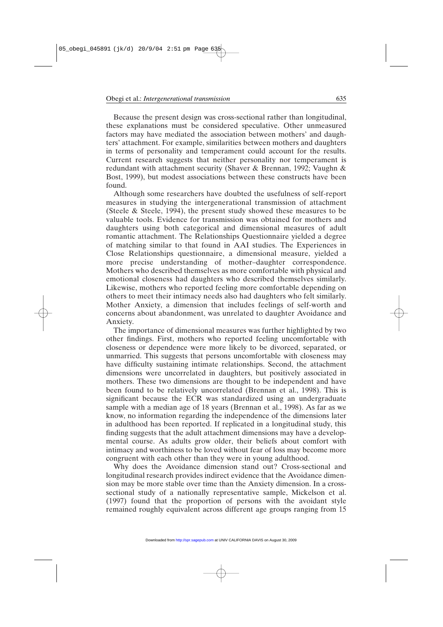Because the present design was cross-sectional rather than longitudinal, these explanations must be considered speculative. Other unmeasured factors may have mediated the association between mothers' and daughters' attachment. For example, similarities between mothers and daughters in terms of personality and temperament could account for the results. Current research suggests that neither personality nor temperament is redundant with attachment security (Shaver & Brennan, 1992; Vaughn & Bost, 1999), but modest associations between these constructs have been found.

Although some researchers have doubted the usefulness of self-report measures in studying the intergenerational transmission of attachment (Steele & Steele, 1994), the present study showed these measures to be valuable tools. Evidence for transmission was obtained for mothers and daughters using both categorical and dimensional measures of adult romantic attachment. The Relationships Questionnaire yielded a degree of matching similar to that found in AAI studies. The Experiences in Close Relationships questionnaire, a dimensional measure, yielded a more precise understanding of mother–daughter correspondence. Mothers who described themselves as more comfortable with physical and emotional closeness had daughters who described themselves similarly. Likewise, mothers who reported feeling more comfortable depending on others to meet their intimacy needs also had daughters who felt similarly. Mother Anxiety, a dimension that includes feelings of self-worth and concerns about abandonment, was unrelated to daughter Avoidance and Anxiety.

The importance of dimensional measures was further highlighted by two other findings. First, mothers who reported feeling uncomfortable with closeness or dependence were more likely to be divorced, separated, or unmarried. This suggests that persons uncomfortable with closeness may have difficulty sustaining intimate relationships. Second, the attachment dimensions were uncorrelated in daughters, but positively associated in mothers. These two dimensions are thought to be independent and have been found to be relatively uncorrelated (Brennan et al., 1998). This is significant because the ECR was standardized using an undergraduate sample with a median age of 18 years (Brennan et al., 1998). As far as we know, no information regarding the independence of the dimensions later in adulthood has been reported. If replicated in a longitudinal study, this finding suggests that the adult attachment dimensions may have a developmental course. As adults grow older, their beliefs about comfort with intimacy and worthiness to be loved without fear of loss may become more congruent with each other than they were in young adulthood.

Why does the Avoidance dimension stand out? Cross-sectional and longitudinal research provides indirect evidence that the Avoidance dimension may be more stable over time than the Anxiety dimension. In a crosssectional study of a nationally representative sample, Mickelson et al. (1997) found that the proportion of persons with the avoidant style remained roughly equivalent across different age groups ranging from 15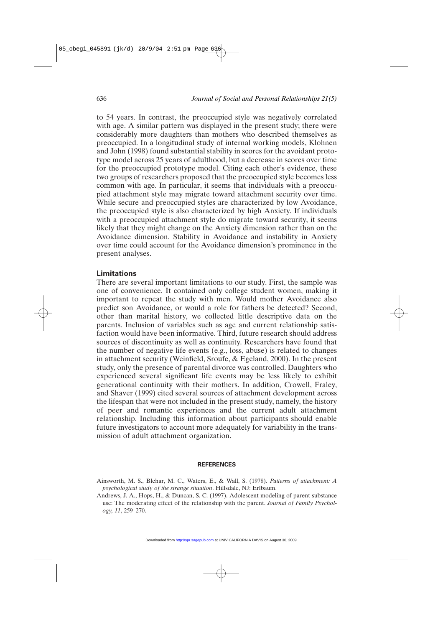to 54 years. In contrast, the preoccupied style was negatively correlated with age. A similar pattern was displayed in the present study; there were considerably more daughters than mothers who described themselves as preoccupied. In a longitudinal study of internal working models, Klohnen and John (1998) found substantial stability in scores for the avoidant prototype model across 25 years of adulthood, but a decrease in scores over time for the preoccupied prototype model. Citing each other's evidence, these two groups of researchers proposed that the preoccupied style becomes less common with age. In particular, it seems that individuals with a preoccupied attachment style may migrate toward attachment security over time. While secure and preoccupied styles are characterized by low Avoidance, the preoccupied style is also characterized by high Anxiety. If individuals with a preoccupied attachment style do migrate toward security, it seems likely that they might change on the Anxiety dimension rather than on the Avoidance dimension. Stability in Avoidance and instability in Anxiety over time could account for the Avoidance dimension's prominence in the present analyses.

#### **Limitations**

There are several important limitations to our study. First, the sample was one of convenience. It contained only college student women, making it important to repeat the study with men. Would mother Avoidance also predict son Avoidance, or would a role for fathers be detected? Second, other than marital history, we collected little descriptive data on the parents. Inclusion of variables such as age and current relationship satisfaction would have been informative. Third, future research should address sources of discontinuity as well as continuity. Researchers have found that the number of negative life events (e.g., loss, abuse) is related to changes in attachment security (Weinfield, Sroufe, & Egeland, 2000). In the present study, only the presence of parental divorce was controlled. Daughters who experienced several significant life events may be less likely to exhibit generational continuity with their mothers. In addition, Crowell, Fraley, and Shaver (1999) cited several sources of attachment development across the lifespan that were not included in the present study, namely, the history of peer and romantic experiences and the current adult attachment relationship. Including this information about participants should enable future investigators to account more adequately for variability in the transmission of adult attachment organization.

#### **REFERENCES**

Ainsworth, M. S., Blehar, M. C., Waters, E., & Wall, S. (1978). *Patterns of attachment: A psychological study of the strange situation*. Hillsdale, NJ: Erlbaum.

Andrews, J. A., Hops, H., & Duncan, S. C. (1997). Adolescent modeling of parent substance use: The moderating effect of the relationship with the parent. *Journal of Family Psychology, 11*, 259–270.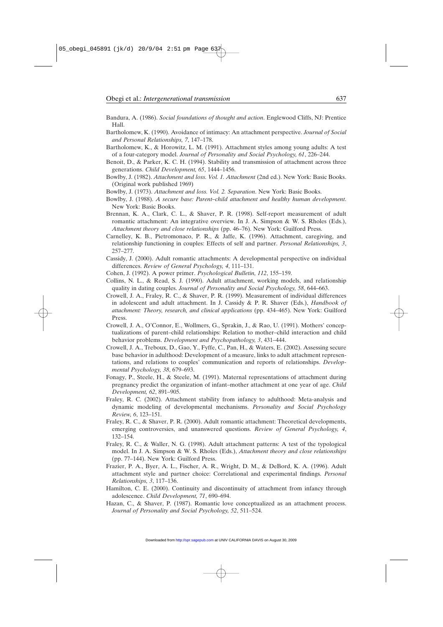- Bandura, A. (1986). *Social foundations of thought and action*. Englewood Cliffs, NJ: Prentice Hall.
- Bartholomew, K. (1990). Avoidance of intimacy: An attachment perspective. *Journal of Social and Personal Relationships, 7*, 147–178.
- Bartholomew, K., & Horowitz, L. M. (1991). Attachment styles among young adults: A test of a four-category model. *Journal of Personality and Social Psychology, 61*, 226–244.
- Benoit, D., & Parker, K. C. H. (1994). Stability and transmission of attachment across three generations. *Child Development, 65*, 1444–1456.
- Bowlby, J. (1982). *Attachment and loss. Vol. 1. Attachment* (2nd ed.). New York: Basic Books. (Original work published 1969)
- Bowlby, J. (1973). *Attachment and loss. Vol. 2. Separation*. New York: Basic Books.
- Bowlby, J. (1988). *A secure base: Parent–child attachment and healthy human development*. New York: Basic Books.
- Brennan, K. A., Clark, C. L., & Shaver, P. R. (1998). Self-report measurement of adult romantic attachment: An integrative overview. In J. A. Simpson & W. S. Rholes (Eds.), *Attachment theory and close relationships* (pp. 46–76). New York: Guilford Press.
- Carnelley, K. B., Pietromonaco, P. R., & Jaffe, K. (1996). Attachment, caregiving, and relationship functioning in couples: Effects of self and partner. *Personal Relationships, 3*, 257–277.
- Cassidy, J. (2000). Adult romantic attachments: A developmental perspective on individual differences. *Review of General Psychology, 4*, 111–131.
- Cohen, J. (1992). A power primer. *Psychological Bulletin, 112*, 155–159.
- Collins, N. L., & Read, S. J. (1990). Adult attachment, working models, and relationship quality in dating couples. *Journal of Personality and Social Psychology, 58*, 644–663.
- Crowell, J. A., Fraley, R. C., & Shaver, P. R. (1999). Measurement of individual differences in adolescent and adult attachment. In J. Cassidy & P. R. Shaver (Eds.), *Handbook of attachment: Theory, research, and clinical applications* (pp. 434–465). New York: Guilford Press.
- Crowell, J. A., O'Connor, E., Wollmers, G., Sprakin, J., & Rao, U. (1991). Mothers' conceptualizations of parent–child relationships: Relation to mother–child interaction and child behavior problems. *Development and Psychopathology, 3*, 431–444.
- Crowell, J. A., Treboux, D., Gao, Y., Fyffe, C., Pan, H., & Waters, E. (2002). Assessing secure base behavior in adulthood: Development of a measure, links to adult attachment representations, and relations to couples' communication and reports of relationships. *Developmental Psychology, 38*, 679–693.
- Fonagy, P., Steele, H., & Steele, M. (1991). Maternal representations of attachment during pregnancy predict the organization of infant–mother attachment at one year of age. *Child Development, 62*, 891–905.
- Fraley, R. C. (2002). Attachment stability from infancy to adulthood: Meta-analysis and dynamic modeling of developmental mechanisms. *Personality and Social Psychology Review, 6*, 123–151.
- Fraley, R. C., & Shaver, P. R. (2000). Adult romantic attachment: Theoretical developments, emerging controversies, and unanswered questions. *Review of General Psychology, 4*, 132–154.
- Fraley, R. C., & Waller, N. G. (1998). Adult attachment patterns: A test of the typological model. In J. A. Simpson & W. S. Rholes (Eds.), *Attachment theory and close relationships* (pp. 77–144). New York: Guilford Press.
- Frazier, P. A., Byer, A. L., Fischer, A. R., Wright, D. M., & DeBord, K. A. (1996). Adult attachment style and partner choice: Correlational and experimental findings. *Personal Relationships, 3*, 117–136.
- Hamilton, C. E. (2000). Continuity and discontinuity of attachment from infancy through adolescence. *Child Development, 71*, 690–694.
- Hazan, C., & Shaver, P. (1987). Romantic love conceptualized as an attachment process. *Journal of Personality and Social Psychology, 52*, 511–524.